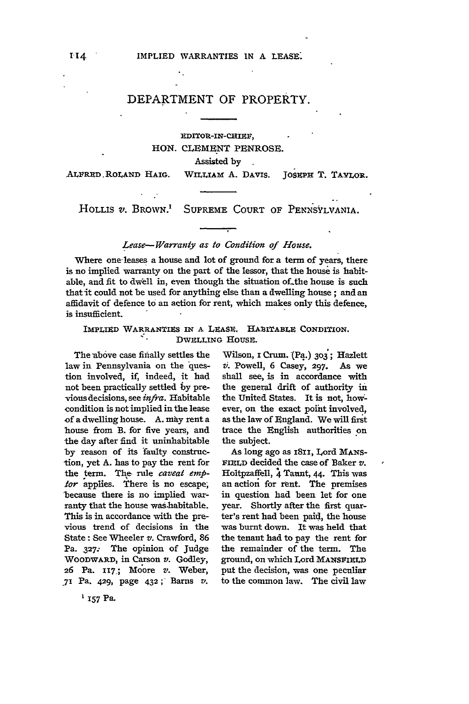## DEPARTMENT OF PROPERTY.

# **EDITOR-IN-CHIEF,** HON. CLEMENT PENROSE.

#### Assisted **by**

ALFRED. ROLAND HAIG. WILLIAM A. DAVIS. JOSEPH T. TAYLOR.

HOLLIS v. BROWN.<sup>1</sup> SUPREME COURT OF PENNSYLVANIA.

#### *Lease-Warranty as to Condition of House.*

Where one leases a house and lot of ground for a term of years, there is no implied warranty on the part of the lessor, that the house is habitable, and fit to dwell in, even though the situation of.the house is such that it could not be used for anything else than a dwelling house; and an affidavit of defence to an action for rent, which makes only this defence, is insufficient.

### IMPLIED WARRANTIES IN A LEASE. HABITABLE CONDITION. DWELLING HouSE.

The above case finally settles the law in Pennsylvania on the 'question involved, if, indeed, it had not been practically settled **by** previous decisions, see *infra.* Habitable condition is not implied in the lease of a dwelling house. A. may rent a house from B. for five years, and the day after find it uninhabitable **by** reason of its 'aulty construction, yet **A.** has to pay the rent for the **term.** The- rule *caveat empfor* applies. There is no escape; 'because there is no implied warranty that the house was habitable. This is in accordance with the previous trend of decisions in the State: See Wheeler *v.* Crawford, **86 Pa. 327.** The opinion of Judge WOODWARD, in Carson *v.* Godley, **26 Pa. 117,; Moore** *v.* Weber, **.71 Pa. 429, page 432; Barns** *v.*

**Wilson,** I **Crum.** (Pa.) **303;** Hazlett *v.* Powell, **6** Casey, **297. As we** shall see, is in accordance with the general drift **of** authority in the United States. It is not, however, on the exact poihit involved, as the law of England. We will **first** trace the English authorities on the subject.

As long ago as 1811, Lord **MANS-FILD** decided the case of Baker *v.* Holtpzaffell, 4 Taunt, 44. This was an action for rent. The premises in question had been let for one year. Shortly after the first quarter's rent had been paid, the house was burnt down. It was held that the tenant had to pay the rent for the remainder of the term. The ground, on which Lord **MANSFIELD** put the decision, was one peculiar to the common law. The civil law

**' 157 Pa.**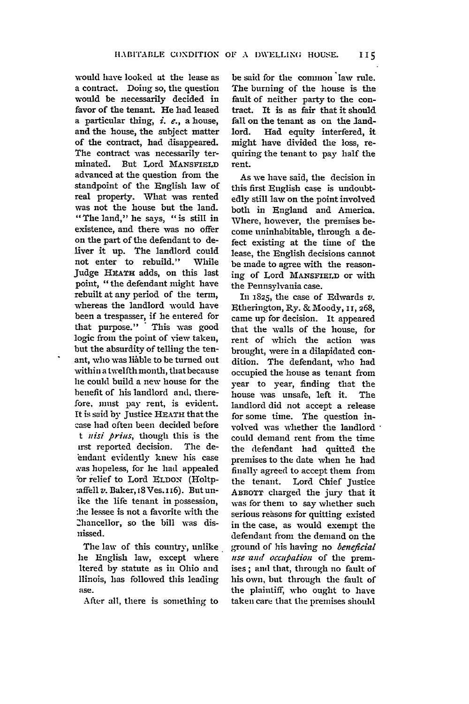would have looked at the lease as a contract. Doing so, the question would be necessarily decided in favor of the tenant. He had leased a particular thing, *i. e.,* a house, and the house, the subject matter of the contract, had disappeared. The contract was necessarily terminated. But Lord MANSFIELD advanced at the question from the standpoint of the English law of real property. What was rented was not the house but the land. "The land," he says, "is still in existence, and there was no offer on the part of the defendant to deliver it up. The landlord could not enter to rebuild." While Judge **HEATH** adds, on this last point, "the defendant might have rebuilt at any period of the term, whereas the landlord would have been a trespasser, if he entered for that purpose." This was good logic from the point of view taken, but the absurdity of telling the tenant, who was liable to be turned out within a twelfthmonth, that because lie could build a new house for the benefit of his landlord and, therefore, must pay rent, is evident. It is said by Justice HEATH that the case had often been decided before *t nisi prius,* though this is the

trst reported decision. The deendant evidently knew his case vas hopeless, for he had appealed 'or relief to Lord ELDON (Holtp affell v. Baker, 18 Ves. 116). But unike the life tenant in possession, :he lessee is not a favorite with the 2hancellor, so the bill was disnissed.

The law of this country, unlike lie English law, except where Itered by statute as in Ohio and llinois, has followed this leading Ase.

After all, there is something to

be said for the common law rule. The burning of the house is the fault of neither party to the contract. It is as fair that it should fall on the tenant as on the landlord. Iad equity interfered, it might have divided the loss, requiring the tenant to pay half the rent.

As we have said, the decision in this first English case is undoubtedly still law on the point involved both in England and America. Where, however, the premises become uninhabitable, through a defect existing at the time of the lease, the English decisions cannot be made to agree with the reasoning of Lord MANSFIEr.D or with the Pennsylvania case.

In1 1825, the case of Edwards *v.* Etherington, Ry. & Moody, **11,** 268, came up for decision. It appeared that the walls of the house, for rent of which the action was brought, were in a dilapidated condition. The defendant, who had occupied the house as tenant from year to year, finding that the house was unsafe, left it. The landlord did not accept a release for some time. The question involved was whether the landlord could demand rent from the time the defendant had quitted the premises to the date when he had finally agreed to accept them from the tenant. Lord Chief Justice ABBOTT charged the jury that it was for them to say whether such serious reasons for quitting existed in the case, as would exempt the defendant front the demand on the ground of his having no *beneficial use and occupation* of the premises; and that, through no fault of his own, but through the fault of the plaintiff, who ought to have taken care that the premises should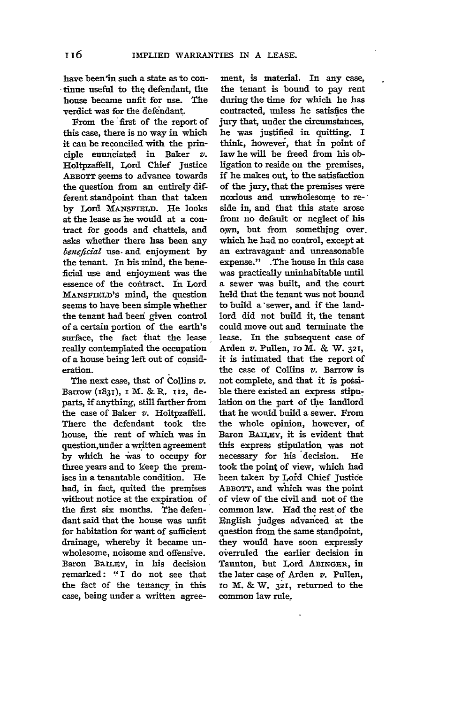have been'in such a state as to continue useful to the defendant, the house became unfit for use. The verdict was for the defendant.

From the first of the report of this case, there is no way in which it can be reconciled with the principle enunciated in Baker *v.* Holtpzaffell, Lord Chief Justice ABBoTT seems to advance towards the question from an entirely different standpoint than that taken by Lord MANSFIELD. He looks at the lease as he would at a contract for goods and chattels, and asks whether there has been any *beneficial* use- and enjoyment **by** the tenant. In his mind, the beneficial use and enjoyment was the essence of the contract. In Lord **MANSFIErLD's** mind, the question seems to have been simple whether the tenant had been given control of a certain portion of the earth's surface, the fact that the lease really contemplated the occupation of a house being left out of consideration.

The next case, that of Collins *v.* Barrow (1831), **i** M. & R. 112, departs, if anything, still farther from the case of Baker *v.* Holtpzaffell. There the defendant took the house, the rent of which was in question,under awritten agreement by which he was to occupy for three years and to keep the premises in a tenantable condition. He had, in fact, quited the premises without notice at the expiration of the first six months. The defendant said that the house was unfit for habitation for want of sufficient drainage, whereby it became unwholesome, noisome and offensive. Baron **BAILEY,** in his decision remarked: 'I do not see that the fact of the tenancy in this case, being under a written agree-

ment, is material. In any case, the tenant is bound to pay rent during the time for which he has contracted, unless he satisfies the jury that, under the circumstances, he was justified in quitting. I think, however, that in point of law he will be freed from his obligation to reside on the premises, if he makes out, to the satisfaction of the jury, that the premises were noxious and unwholesome to re-" side in, and that this state arose from no default or neglect of his o,wn, but from something over. which he had no control, except at an extravagant and unreasonable expense." .The house in this case was practically uninhabitable until a sewer was built, and the court held that the tenant was not bound to build a "sewer, and if the landlord did not build it, the tenant could move out and terminate the lease. In the subsequent case of Arden v. Pullen, io M. & W. **32T,** it is intimated that the report of the case of Collins *v.* Barrow is not complete, and that it is possible there existed an express stipulation on the part of the landlord that he would build a sewer. Prom the whole opinion, however, of Baron **BAiLy,** it is evident that this express stipulation was not necessary for his decision. He took the point of view, which had been taken by Lord Chief Justice ABBOTT, and which was the point of view of the civil and not of the common law. Had the rest of the English judges advanced at the question from the same standpoint, they would have soon expressly overruled the earlier decision in Taunton, but Lord **ABINGER,** in the later case of Arden  $v$ . Pullen, 1o **M.** & W. **321,** returned to the common law rule.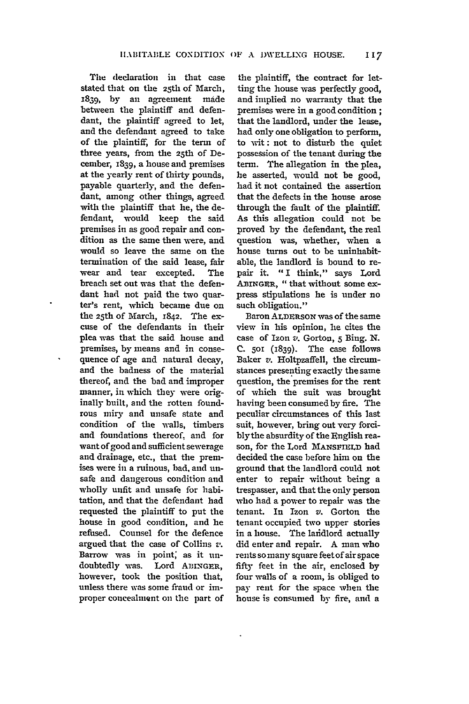The declaration in that case stated that on the 25th of March, 1839, by **an** agreement made between the plaintiff and defendant, the plaintiff agreed to let, and the defendant agreed to take of the plaintiff, for the term of three years, from the 25th of December, **1839,** a house and premises at the yearly rent of thirty pounds, payable quarterly, and the defendant, among other things, agreed with the plaintiff that he, the defendant, would keep the said premises in as good repair and condition as the same then were, and would so leave the same on the termination of the said lease, fair wear and tear excepted. The breach set out was that the defendant had not paid the two quarter's rent, which became due on the 25th of March, 1842. The excuse of the defendants in their plea was that the said house and premises, by means and in consequence of age and natural decay, and the badness of the material thereof, and the bad and improper manner, in which they were originally built, and the rotten foundrous miry and unsafe state and condition of the walls, timbers and foundations thereof, and for want of good and sufficient sewerage and drainage, etc., that the premises were in a ruinous, bad, and unsafe and dangerous condition and wholly unfit and unsafe for habitation, and that the defendant had requested the plaintiff to put the house in good condition, and he refused. Counsel for the defence argued that the case of Collins *v.* Barrow was in point; as it undoubtedly was. Lord ABINGER, however, took the position that, unless there was some fraud or improper concealnent on the part of

the plaintiff, the contract for letting the house was perfectly good, and implied no warranty that the premises were in a good condition **;** that the landlord, under the lease, had only one obligation to perform, to wit: not to disturb the quiet possession of the tenant during the term. The allegation in the plea, he asserted, would not be good, had it not contained the assertion that the defects in the house arose through the fault of the plaintiff. As this allegation could not be proved **by** the defendant, the real question was, whether, when a house turns out to be uninhabitable, the landlord is bound to repair it. "I think," says Lord ABINGER, "that without some express stipulations he is under no such obligation."

Baron ALDERsoN was of the same view in his opinion, he cites the case of Izon *v.* Gorton, **5** Bing. N. **C. 501** (1839). The case follows Baker *v.* Holtpzaffell, the circumstances presenting exactly the same question, the premises for the rent of which the suit was brought having been consumed by fire. The peculiar circumstances of this last suit, however, bring out very forcibly the absurdity of the English reason, for the Lord **MANSFIFLD** had decided the case before him on the ground that the landlord could not enter to repair without being a trespasser, and that the only person who had a power to repair was the tenant. In Izon **v.** Gorton the tenant occupied two upper stories in a house. The landlord actually did enter and repair. **A** man who rents so many square feet of air space fifty feet in the air, enclosed **by** four walls of a room, is obliged to pay rent for the space when the house is consumed by fire, and a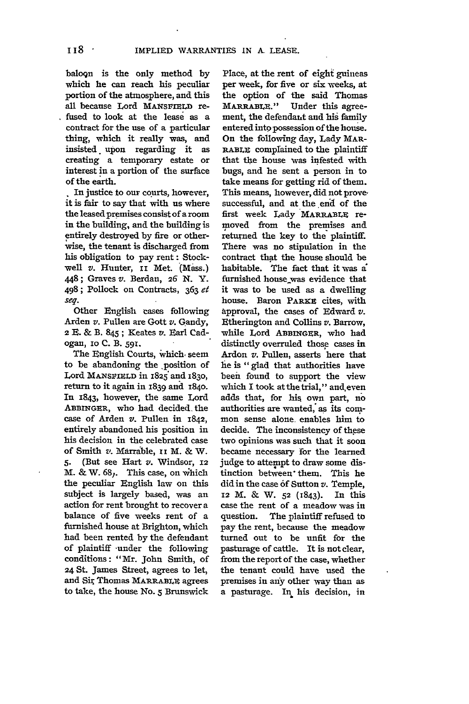baloqn is the only method **by** which he can reach his peculiar portion of the atmosphere, and this all because Lord MANSFIELD refused to look at the lease as a contract for the use of a particular thing, which it really was, and insisted, upon regarding it as creating a temporary estate or interest in a portion of the surface of the earth.

**.** In justice to our courts, however, it is fair to say that with us where the leased premises consist of a room in the building, and the building is entirely destroyed by fire or otherwise, the tenant is discharged from his obligation to pay rent: Stockwell v. Hunter, ii Met. (Mass.) 448; Graves *v.* Berdan, 26 **N.** Y. 498; Pollock on Contracts, 363 *et seq.*

Other English cases following Arden *v*. Pullen are Gott *v*. Gandy, 2 **E.** & B. 845 **;** Keates *v.* Earl Cadogan, **IO C.** B. **591.**

The English Courts, vhich. seem to be abandoning the .position of Lord MANSFIELD in 1825 and i83o, return to it again in 1839 and i84o. In 1843, however, the same Lord ABBINGER, who had decided the case of Arden *v.* Pullen in 1842, entirely abandoned his position in his decision in the celebrated case of Smith *v.* Marrable, ii M. & W. **5.** (But see Hart *v.* Windsor, 12 M. & W. 68,. This case, on which the peculiar English law on this subject is largely based, was an action for rent brought to recover a balance of five weeks rent of a furnished house at Brighton, which had been rented by the defendant of plaintiff -under the following conditions: "Mr. John Smith, of 24 St. James Street, agrees to let, and Sig Thomas MARRABLE agrees to take, the house No. 5 Brunswick

Place, at the rent of eight guineas per week, for five or six weeks, at the option of the said Thomas MARRABLE." Under this agreement, the defendant and his family entered into possession of the house. On the following day, Lady MAR-RABLE complained to the plaintiff that the house was infested with bugs, and he sent a person in to take means for getting rid of them. This means, however, did not prove, successful, and at the end of the first week Lady MARRABLE removed from the premises and returned the key to the plaintiff. There was no stipulation in the contract that the house should **be** habitable. The fact that it was a furnished house\_was evidence that it was to be used as a dwelling house. Baron **PARKE** cites, with tipproval, the cases of Edward *v.* Btherington and Collins *v.* Barrow, while Lord ABBINGER, who had distinctly overruled those cases in Ardon *v.* Pullen, asserts here that he is "glad that authorities have been found to support the view which I took at the trial," **and,** even adds that, for his own part, no authorities are wanted, as its common sense alone, enables him **to** decide. The inconsistency of these two opinions was such that it soon became necessary for the learned judge to attempt to draw some distinction between' them. This he did in the case **6f** Sutton *v.* Temple, 12 M. & W. 52 (1843). In this case the rent of a meadow was in question. The plaintiff refused to pay the rent, because the meadow turned out to be unfit for the pasturage of cattle. It is notclear, from the report of the case, whether the tenant could have used the premises in any other way than as a pasturage. **In** his decision, in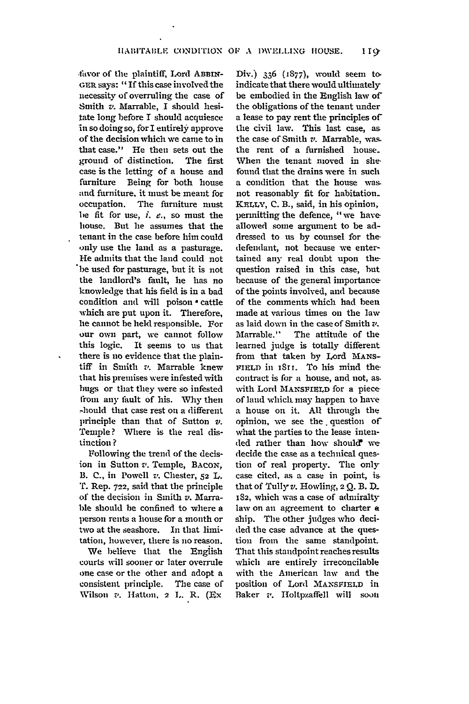favor of the plaintiff, Lord ABBIN-GER says: "If this case involved the necessity of overruling the case of Smith *v.* Marrable, I should hesitate long before I should acquiesce in so doing so, for I entirely approve of the decision which we came to in that case." He then sets out the ground of distinction. The first case is the letting of a house and furniture Being for both house and furniture, it must be meant for occupation. The furniture must lie fit for use, *i. e.,* so must the house. But lie assumes that the tenant in the case before him could **only** use the land as a pasturage. He adnits that the land could not be used for pasturage, but it is not the landlord's fault, lie has no knowledge that his field is in a bad condition and will poison *·* cattle which are put upon it. Therefore, he cannot be held responsible. For our own part, we cannot follow this logic. It seems to us that there is no evidence that the plaintiff in Smith *v.* Marrable knew that his premises were infested with bugs or that they were so infested from any fault of his. Why then ,hould that case rest on a different principle than that of Sutton *v.* Temple? Where is the real distinction **?**

Following the trend of the decision in Sutton v. Temple, **BACON,** B. C., in Powell v. Chester, **52** L. T. Rep. **722,** said that the principle of the decision in Smith *v.* Marrable should be confined to where a person rents a house for a month or two at the seashore. In that limitation, however, there is no reason.

We believe that the Engiish courts will sooner or later overrule one case or the other and adopt a consistent principle. The case of Wilson *v.* H-atton. 2 **L. R. (Ex**

Div.) 336 (i877), would seem to. indicate that there would ultimately be embodied in the English law of the obligations of the tenant under a lease to pay rent the principles ofthe civil law. This last case, as the case of Smith *v.* Marrable. was. the rent of a furnished house\_ When the tenant moved in shefound that the drains were in such a condition that the house was not reasonably fit for habitation-KExLY, C. B., said, in his opinion, permitting the defence, "we haveallowed some argument to be addressed to us by counsel for thedefendant, not because we entertained any real doubt upon the question raised in this case, but because of the general importance of the points involved, and because of the comments which had been made at various times on the law as laid down in the case of Smith z,. Marrable." The attitude of the learned judge is totally different from that taken by Lord **MANS-**FIELD in 1811. To his mind thecontract is for a house, and not, as. with Lord MANsFIELD for a piece of land which may happen to have a house on it. **All** through the opinion, we see the question of what the parties to the lease intended rather than how should we decide the case as a technical question of real property. The only case cited, as a case in point, is. that of Tully *v.* Howling, 2 Q. B. **I)- 182,** which was a case of admiralty law on an agreement to charter a ship. The other judges who decided the case advance at the question from the same standpoint. That this standpoint reaches results which are entirely irreconcilable with the American law and the position of Lord MANSFIELD in Baker **v.** Holtpzaffell will soon